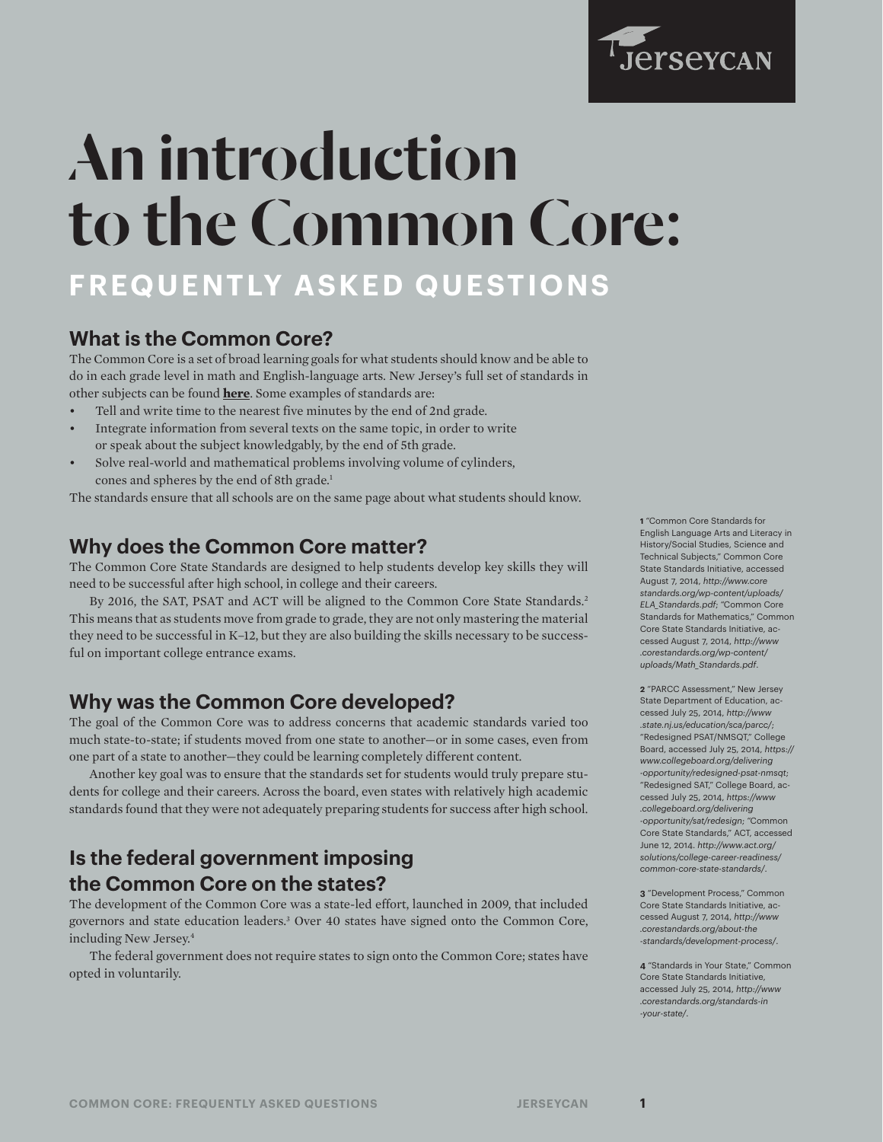

# An introduction to the Common Core:

## **FREQUENTLY ASKED QUESTIONS**

#### **What is the Common Core?**

The Common Core is a set of broad learning goals for what students should know and be able to do in each grade level in math and English-language arts. New Jersey's full set of standards in other subjects can be found **here**. Some examples of standards are:

- Tell and write time to the nearest five minutes by the end of 2nd grade.
- Integrate information from several texts on the same topic, in order to write or speak about the subject knowledgably, by the end of 5th grade.
- Solve real-world and mathematical problems involving volume of cylinders, cones and spheres by the end of 8th grade.<sup>1</sup>

The standards ensure that all schools are on the same page about what students should know.

#### **Why does the Common Core matter?**

The Common Core State Standards are designed to help students develop key skills they will need to be successful after high school, in college and their careers.

By 2016, the SAT, PSAT and ACT will be aligned to the Common Core State Standards.2 This means that as students move from grade to grade, they are not only mastering the material they need to be successful in K–12, but they are also building the skills necessary to be successful on important college entrance exams.

#### **Why was the Common Core developed?**

The goal of the Common Core was to address concerns that academic standards varied too much state-to-state; if students moved from one state to another—or in some cases, even from one part of a state to another—they could be learning completely different content.

Another key goal was to ensure that the standards set for students would truly prepare students for college and their careers. Across the board, even states with relatively high academic standards found that they were not adequately preparing students for success after high school.

## **Is the federal government imposing the Common Core on the states?**

The development of the Common Core was a state-led effort, launched in 2009, that included governors and state education leaders.3 Over 40 states have signed onto the Common Core, including New Jersey.4

The federal government does not require states to sign onto the Common Core; states have opted in voluntarily.

**1** "Common Core Standards for English Language Arts and Literacy in History/Social Studies, Science and Technical Subjects," Common Core State Standards Initiative, accessed August 7, 2014, *http://www.core standards.org/wp-content/uploads/ ELA\_Standards.pdf*; "Common Core Standards for Mathematics," Common Core State Standards Initiative, accessed August 7, 2014, *http://www .corestandards.org/wp-content/ uploads/Math\_Standards.pdf*.

2 "PARCC Assessment," New Jersey State Department of Education, accessed July 25, 2014, *http://www .state.nj.us/education/sca/parcc/*; "Redesigned PSAT/NMSQT," College Board, accessed July 25, 2014, *https:// www.collegeboard.org/delivering -opportunity/redesigned-psat-nmsqt*; "Redesigned SAT," College Board, accessed July 25, 2014, *https://www .collegeboard.org/delivering -opportunity/sat/redesign*; "Common Core State Standards," ACT, accessed June 12, 2014. *http://www.act.org/ solutions/college-career-readiness/ common-core-state-standards/*.

**3** "Development Process," Common Core State Standards Initiative, accessed August 7, 2014, *http://www .corestandards.org/about-the -standards/development-process/*.

**4** "Standards in Your State," Common Core State Standards Initiative, accessed July 25, 2014, *http://www .corestandards.org/standards-in -your-state/*.